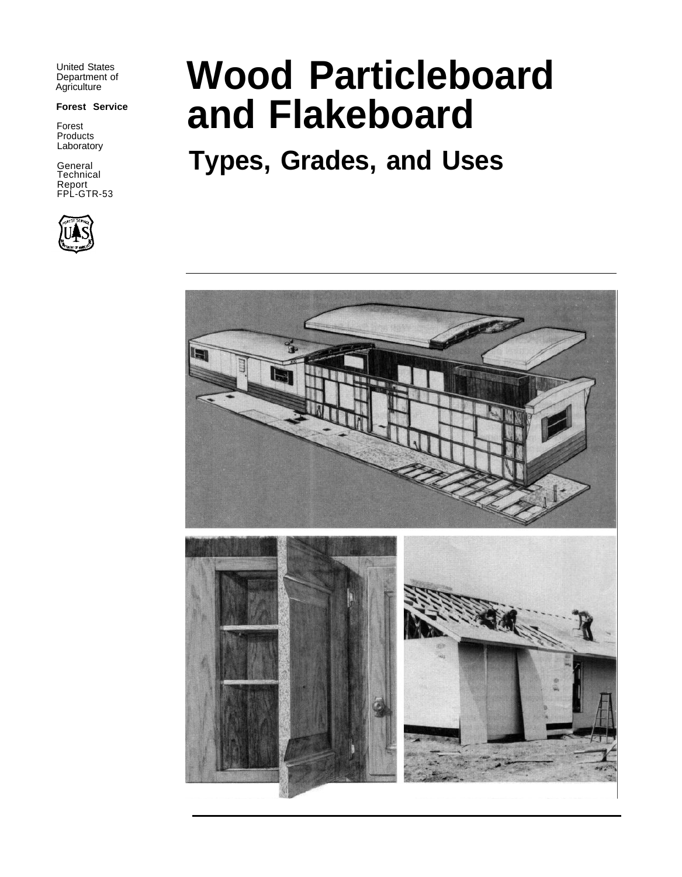United States Department of **Agriculture** 

#### **Forest Service**

Forest Products Laboratory

General Technical Report FPL-GTR-53



# **Wood Particleboard and Flakeboard**

## **Types, Grades, and Uses**

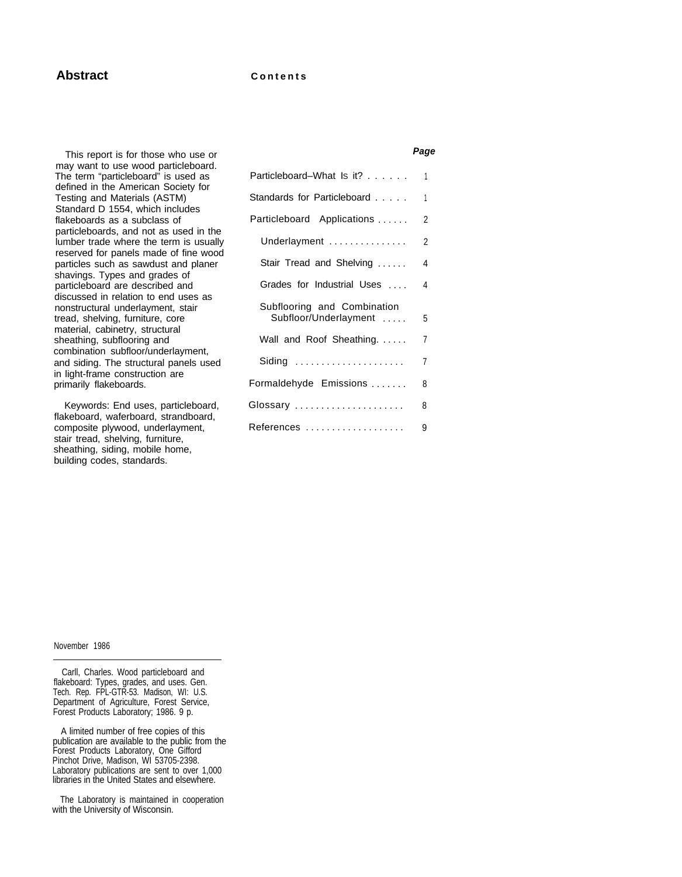#### **Abstract**

#### **Contents**

*Page* This report is for those who use or may want to use wood particleboard. The term "particleboard" is used as defined in the American Society for Testing and Materials (ASTM) Standard D 1554, which includes flakeboards as a subclass of particleboards, and not as used in the lumber trade where the term is usually reserved for panels made of fine wood particles such as sawdust and planer shavings. Types and grades of particleboard are described and discussed in relation to end uses as nonstructural underlayment, stair tread, shelving, furniture, core material, cabinetry, structural sheathing, subflooring and combination subfloor/underlayment, and siding. The structural panels used in light-frame construction are primarily flakeboards.

Keywords: End uses, particleboard, flakeboard, waferboard, strandboard, composite plywood, underlayment, stair tread, shelving, furniture, sheathing, siding, mobile home, building codes, standards.

| Particleboard–What Is it?                            | 1 |
|------------------------------------------------------|---|
| Standards for Particleboard                          | 1 |
| Particleboard Applications                           | 2 |
| Underlayment                                         | 2 |
| Stair Tread and Shelving                             | 4 |
| Grades for Industrial Uses                           | 4 |
| Subflooring and Combination<br>Subfloor/Underlayment | 5 |
| Wall and Roof Sheathing                              | 7 |
| Siding $\ldots \ldots \ldots \ldots \ldots \ldots$   | 7 |
| Formaldehyde Emissions                               | 8 |
| Glossary                                             | 8 |
| References                                           | 9 |

November 1986

Carll, Charles. Wood particleboard and flakeboard: Types, grades, and uses. Gen. Tech. Rep. FPL-GTR-53. Madison, WI: U.S. Department of Agriculture, Forest Service, Forest Products Laboratory; 1986. 9 p.

A limited number of free copies of this publication are available to the public from the Forest Products Laboratory, One Gifford Pinchot Drive, Madison, WI 53705-2398. Laboratory publications are sent to over 1,000 libraries in the United States and elsewhere.

The Laboratory is maintained in cooperation with the University of Wisconsin.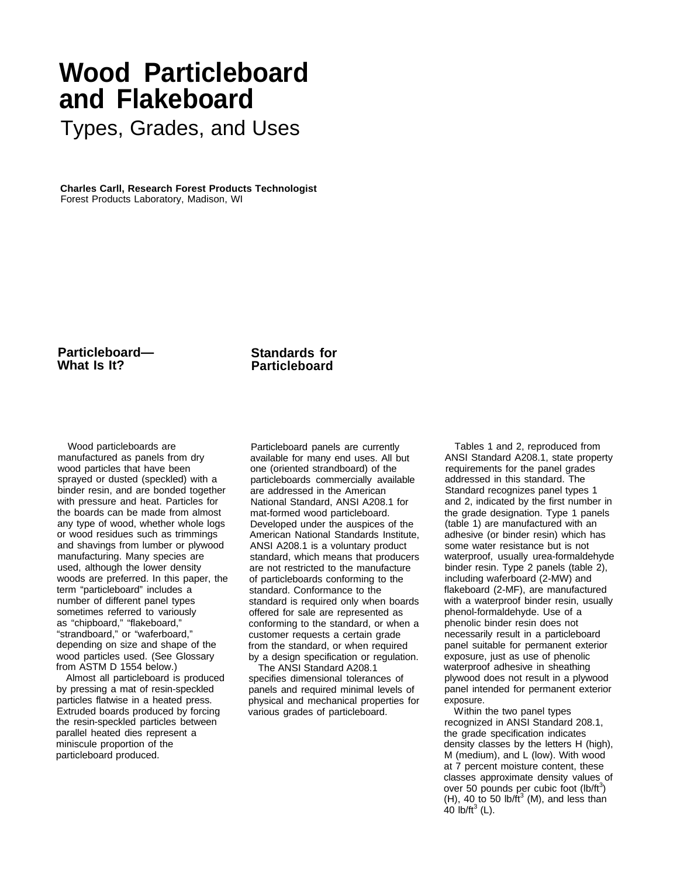### **Wood Particleboard and Flakeboard**

Types, Grades, and Uses

**Charles Carll, Research Forest Products Technologist** Forest Products Laboratory, Madison, WI

#### **Particleboard— What Is It?**

#### **Standards for Particleboard**

Wood particleboards are manufactured as panels from dry wood particles that have been sprayed or dusted (speckled) with a binder resin, and are bonded together with pressure and heat. Particles for the boards can be made from almost any type of wood, whether whole logs or wood residues such as trimmings and shavings from lumber or plywood manufacturing. Many species are used, although the lower density woods are preferred. In this paper, the term "particleboard" includes a number of different panel types sometimes referred to variously as "chipboard," "flakeboard," "strandboard," or "waferboard," depending on size and shape of the wood particles used. (See Glossary from ASTM D 1554 below.)

Almost all particleboard is produced by pressing a mat of resin-speckled particles flatwise in a heated press. Extruded boards produced by forcing the resin-speckled particles between parallel heated dies represent a miniscule proportion of the particleboard produced.

Particleboard panels are currently available for many end uses. All but one (oriented strandboard) of the particleboards commercially available are addressed in the American National Standard, ANSI A208.1 for mat-formed wood particleboard. Developed under the auspices of the American National Standards Institute, ANSI A208.1 is a voluntary product standard, which means that producers are not restricted to the manufacture of particleboards conforming to the standard. Conformance to the standard is required only when boards offered for sale are represented as conforming to the standard, or when a customer requests a certain grade from the standard, or when required by a design specification or regulation.

The ANSI Standard A208.1 specifies dimensional tolerances of panels and required minimal levels of physical and mechanical properties for various grades of particleboard.

Tables 1 and 2, reproduced from ANSI Standard A208.1, state property requirements for the panel grades addressed in this standard. The Standard recognizes panel types 1 and 2, indicated by the first number in the grade designation. Type 1 panels (table 1) are manufactured with an adhesive (or binder resin) which has some water resistance but is not waterproof, usually urea-formaldehyde binder resin. Type 2 panels (table 2), including waferboard (2-MW) and flakeboard (2-MF), are manufactured with a waterproof binder resin, usually phenol-formaldehyde. Use of a phenolic binder resin does not necessarily result in a particleboard panel suitable for permanent exterior exposure, just as use of phenolic waterproof adhesive in sheathing plywood does not result in a plywood panel intended for permanent exterior exposure.

Within the two panel types recognized in ANSI Standard 208.1, the grade specification indicates density classes by the letters H (high), M (medium), and L (low). With wood at 7 percent moisture content, these classes approximate density values of over 50 pounds per cubic foot  $(lb/tt^3)$ (H), 40 to 50 lb/ft<sup>3</sup> (M), and less than  $40$  Ib/ft<sup>3</sup> (L).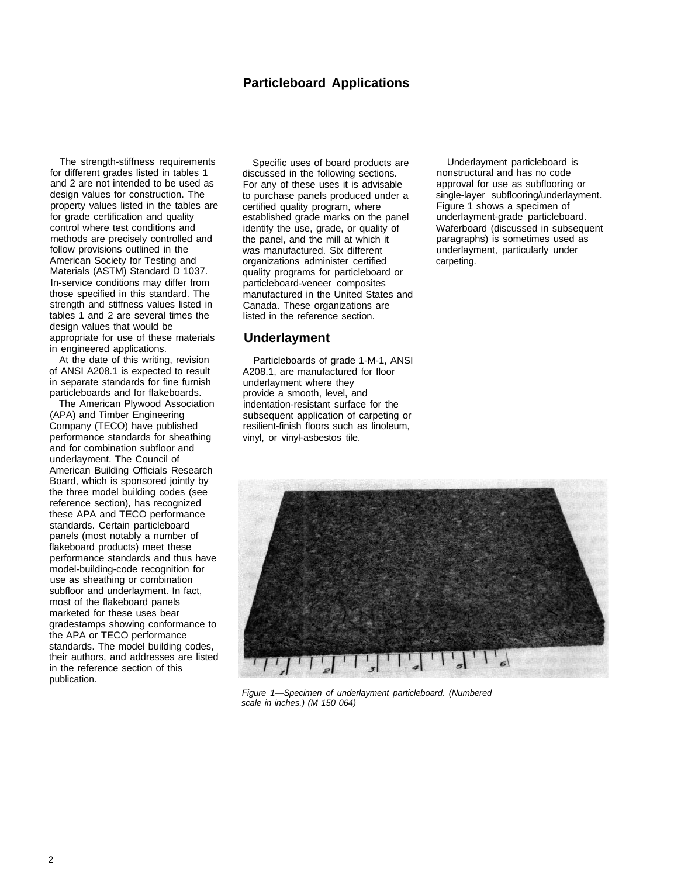#### **Particleboard Applications**

The strength-stiffness requirements for different grades listed in tables 1 and 2 are not intended to be used as design values for construction. The property values listed in the tables are for grade certification and quality control where test conditions and methods are precisely controlled and follow provisions outlined in the American Society for Testing and Materials (ASTM) Standard D 1037. In-service conditions may differ from those specified in this standard. The strength and stiffness values listed in tables 1 and 2 are several times the design values that would be appropriate for use of these materials in engineered applications.

At the date of this writing, revision of ANSI A208.1 is expected to result in separate standards for fine furnish particleboards and for flakeboards.

The American Plywood Association (APA) and Timber Engineering Company (TECO) have published performance standards for sheathing and for combination subfloor and underlayment. The Council of American Building Officials Research Board, which is sponsored jointly by the three model building codes (see reference section), has recognized these APA and TECO performance standards. Certain particleboard panels (most notably a number of flakeboard products) meet these performance standards and thus have model-building-code recognition for use as sheathing or combination subfloor and underlayment. In fact, most of the flakeboard panels marketed for these uses bear gradestamps showing conformance to the APA or TECO performance standards. The model building codes, their authors, and addresses are listed in the reference section of this publication.

Specific uses of board products are discussed in the following sections. For any of these uses it is advisable to purchase panels produced under a certified quality program, where established grade marks on the panel identify the use, grade, or quality of the panel, and the mill at which it was manufactured. Six different organizations administer certified quality programs for particleboard or particleboard-veneer composites manufactured in the United States and Canada. These organizations are listed in the reference section.

#### **Underlayment**

Particleboards of grade 1-M-1, ANSI A208.1, are manufactured for floor underlayment where they provide a smooth, level, and indentation-resistant surface for the subsequent application of carpeting or resilient-finish floors such as linoleum, vinyl, or vinyl-asbestos tile.

Underlayment particleboard is nonstructural and has no code approval for use as subflooring or single-layer subflooring/underlayment. Figure 1 shows a specimen of underlayment-grade particleboard. Waferboard (discussed in subsequent paragraphs) is sometimes used as underlayment, particularly under carpeting.



*Figure 1—Specimen of underlayment particleboard. (Numbered scale in inches.) (M 150 064)*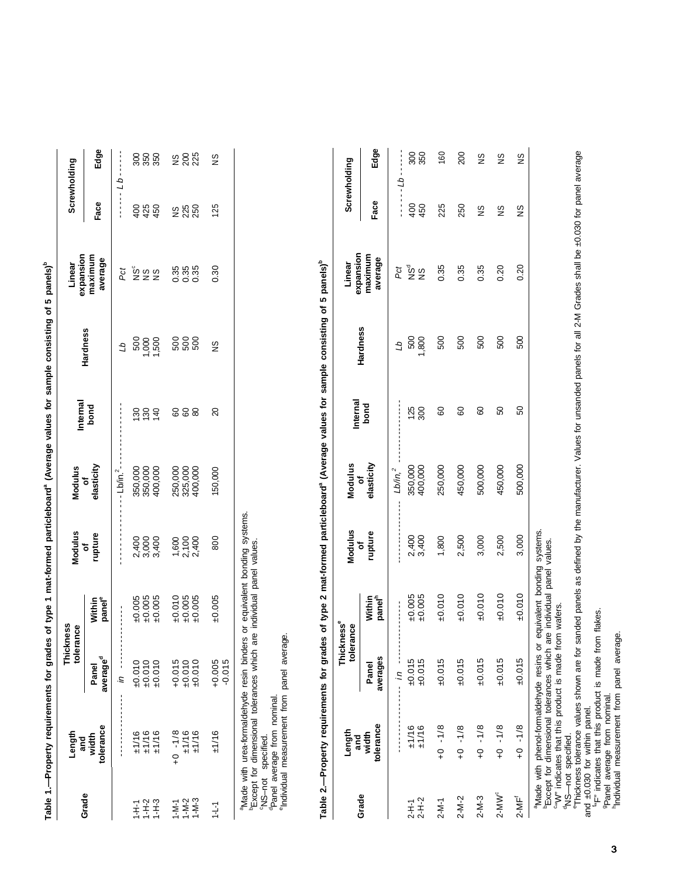|                                                          |                                                                             | $\overline{\phantom{a}}$                                         |                          | J                             |                  | J                          | ׅ֡֘                                       |              |                  |
|----------------------------------------------------------|-----------------------------------------------------------------------------|------------------------------------------------------------------|--------------------------|-------------------------------|------------------|----------------------------|-------------------------------------------|--------------|------------------|
|                                                          | tolerance<br>Thickn                                                         | ness                                                             |                          |                               |                  |                            |                                           | Screwholding |                  |
| Length<br>and<br>width<br>tolerance                      | average <sup>"</sup><br>Panel                                               | Within<br>panel <sup>e</sup>                                     | Modulus<br>of<br>rupture | Modulus<br>of<br>elasticity   | Internal<br>bond | Hardness                   | Linear<br>expansion<br>maximum<br>average | Face         | Edge             |
|                                                          | ------ m                                                                    | $\frac{1}{1}$                                                    | $\frac{1}{2}$            | $---16/102$                   |                  |                            | Pct                                       | ------- 47   |                  |
|                                                          |                                                                             |                                                                  |                          |                               |                  | $18000$<br>$-3000$<br>$-1$ | ខ្លួននិ                                   |              |                  |
|                                                          |                                                                             |                                                                  |                          |                               | 2884             |                            |                                           | 845<br>955   |                  |
| $\frac{11}{110}$<br>$\frac{11}{110}$<br>$\frac{11}{110}$ | $\begin{array}{c} 1000 \\ 1000 \\ \hline 10010 \\ \hline 10010 \end{array}$ | $\begin{array}{r} +0.005 \\ +0.005 \\ \hline +0.005 \end{array}$ | 2,000<br>ด้าน<br>คริก    | 350,000<br>350,000<br>400,000 |                  |                            |                                           |              | ន្តន្ត<br>និង និ |
|                                                          |                                                                             |                                                                  |                          |                               |                  |                            |                                           |              |                  |
| $+0 - 1/8$<br>$\pm 1/16$<br>$\pm 1/16$                   |                                                                             |                                                                  |                          |                               | 888              | នី<br>និង<br>ឆ             |                                           | <b>2</b> ងួន | <b>2</b> និឌ     |
|                                                          | $+0.015$<br>$+0.010$<br>$+0.010$                                            | $+0.010$<br>$+0.005$<br>$+0.005$                                 | $7,100$<br>$2,400$       | 250,000<br>325,000<br>400,000 |                  |                            | 888<br>000                                |              |                  |
| ±1/16                                                    | $-0.005$                                                                    | $+0.005$                                                         | 800                      | 150,000                       | 20               | S<br>N                     | 0.30                                      | 125          | $\frac{8}{2}$    |
|                                                          |                                                                             |                                                                  |                          |                               |                  |                            |                                           |              |                  |

**Table 1.—Property requirements for grades of type 1 mat-formed particleboard a (Average values for sample consisting of 5 panels)**

**b**

Made with urea-formaldehyde resin binders or equivalent bonding systems.<br>"Except for dimensional tolerances which are individual panel values. <sup>a</sup>Made with urea-formaldehyde resin binders or equivalent bonding systems.

bExcept for dimensional tolerances which are individual panel values.

cNS–not specified.

dPanel average from nominal.

<sup>6</sup>NS-not specified.<br><sup>4</sup>Panel average from nominal.<br><sup>6</sup>Individual measurement from panel average. lndividual measurement from panel average.

**Table 2.—Property requirements for grades of type 2 mat-formed particleboard a (Average values for sample consisting of 5 panels) b**

|                | Length                                                                                                                                                              | <b>Thickness</b> e<br>tolerance                 |                              |                          | Modulus<br>of      |                  |          | expansion<br>Linear | Screwholding    |               |
|----------------|---------------------------------------------------------------------------------------------------------------------------------------------------------------------|-------------------------------------------------|------------------------------|--------------------------|--------------------|------------------|----------|---------------------|-----------------|---------------|
| Grade          | tolerance<br>and<br>width                                                                                                                                           | averages<br>Panel                               | Nithin<br>panel <sup>r</sup> | Modulus<br>of<br>rupture | elasticity         | Internal<br>bond | Hardness | maximum<br>average  | Face            | Edge          |
|                |                                                                                                                                                                     | ----- 22 -----                                  | $\frac{1}{2}$                |                          | Lb/m <sub>2</sub>  | $\vdots$         | q7       |                     | -------47------ |               |
| 2-H-1<br>2-H-2 | $\frac{31}{114}$                                                                                                                                                    | $\begin{array}{c} +0.015 \\ +0.015 \end{array}$ | $\frac{+0.005}{+0.005}$      | 2,400<br>3,400           | 350,000<br>400,000 | 125<br>300       | 500      | ខុន និ              | $\frac{6}{450}$ | 350<br>350    |
| 2-M-1          | $+0 - 1/8$                                                                                                                                                          | ±0.015                                          | ±0.010                       | 1,800                    | 250,000            | 80               | 500      | 0.35                | 225             | 160           |
| $2 - M - 2$    | $+0 - 1/8$                                                                                                                                                          | ±0.015                                          | ±0.010                       | 2,500                    | 450,000            | 60               | 500      | 0.35                | 250             | 200           |
| $2 - M - 3$    | $+0 - 1/8$                                                                                                                                                          | ±0.015                                          | $+0.010$                     | 3,000                    | 500,000            | 80               | 500      | 0.35                | 9S              | SZ            |
| $2-MMV^c$      | $+0 - 1/8$                                                                                                                                                          | ±0.015                                          | $+0.010$                     | 2,500                    | 150,000            | SO               | 500      | 0.20                | 9S              | SZ            |
| $2-MF$         | $+0 - 1/8$                                                                                                                                                          | ±0.015                                          | $-0.010$                     | 3,000                    | 500,000            | 50               | 500      | 0.20                | 9S              | $\frac{8}{2}$ |
|                | <sup>a</sup> Made with phenol-formaldehyde resins or equivalent bonding system<br><sup>b</sup> Except for dimensional tolerances which are individual panel values. |                                                 | equivalent bonding systems.  |                          |                    |                  |          |                     |                 |               |

"W" indicates that this product is made from wafers.

dNS—not specified.

σ <del>σ</del> φ ν υ π π π Thickness tolerance values shown are for sanded panels as defined by the manufacturer. Values for unsanded panels for all 2-M Grades shall be ±0.030 for panel average and ±0.030 for within panel.

"F" indicates that this product is made from flakes.

gPanel average from nominal.

lndividual measurement from panel average.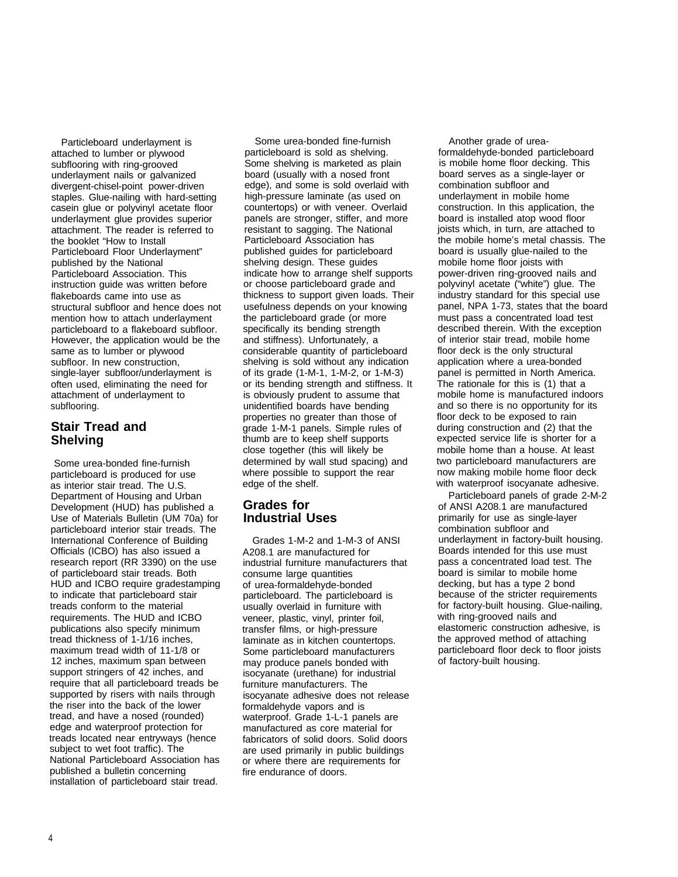Particleboard underlayment is attached to lumber or plywood subflooring with ring-grooved underlayment nails or galvanized divergent-chisel-point power-driven staples. Glue-nailing with hard-setting casein glue or polyvinyl acetate floor underlayment glue provides superior attachment. The reader is referred to the booklet "How to Install Particleboard Floor Underlayment" published by the National Particleboard Association. This instruction guide was written before flakeboards came into use as structural subfloor and hence does not mention how to attach underlayment particleboard to a flakeboard subfloor. However, the application would be the same as to lumber or plywood subfloor. In new construction, single-layer subfloor/underlayment is often used, eliminating the need for attachment of underlayment to subflooring.

#### **Stair Tread and Shelving**

Some urea-bonded fine-furnish particleboard is produced for use as interior stair tread. The U.S. Department of Housing and Urban Development (HUD) has published a Use of Materials Bulletin (UM 70a) for particleboard interior stair treads. The International Conference of Building Officials (ICBO) has also issued a research report (RR 3390) on the use of particleboard stair treads. Both HUD and ICBO require gradestamping to indicate that particleboard stair treads conform to the material requirements. The HUD and ICBO publications also specify minimum tread thickness of 1-1/16 inches, maximum tread width of 11-1/8 or 12 inches, maximum span between support stringers of 42 inches, and require that all particleboard treads be supported by risers with nails through the riser into the back of the lower tread, and have a nosed (rounded) edge and waterproof protection for treads located near entryways (hence subject to wet foot traffic). The National Particleboard Association has published a bulletin concerning installation of particleboard stair tread.

Some urea-bonded fine-furnish particleboard is sold as shelving. Some shelving is marketed as plain board (usually with a nosed front edge), and some is sold overlaid with high-pressure laminate (as used on countertops) or with veneer. Overlaid panels are stronger, stiffer, and more resistant to sagging. The National Particleboard Association has published guides for particleboard shelving design. These guides indicate how to arrange shelf supports or choose particleboard grade and thickness to support given loads. Their usefulness depends on your knowing the particleboard grade (or more specifically its bending strength and stiffness). Unfortunately, a considerable quantity of particleboard shelving is sold without any indication of its grade (1-M-1, 1-M-2, or 1-M-3) or its bending strength and stiffness. It is obviously prudent to assume that unidentified boards have bending properties no greater than those of grade 1-M-1 panels. Simple rules of thumb are to keep shelf supports close together (this will likely be determined by wall stud spacing) and where possible to support the rear edge of the shelf.

#### **Grades for Industrial Uses**

Grades 1-M-2 and 1-M-3 of ANSI A208.1 are manufactured for industrial furniture manufacturers that consume large quantities of urea-formaldehyde-bonded particleboard. The particleboard is usually overlaid in furniture with veneer, plastic, vinyl, printer foil, transfer films, or high-pressure laminate as in kitchen countertops. Some particleboard manufacturers may produce panels bonded with isocyanate (urethane) for industrial furniture manufacturers. The isocyanate adhesive does not release formaldehyde vapors and is waterproof. Grade 1-L-1 panels are manufactured as core material for fabricators of solid doors. Solid doors are used primarily in public buildings or where there are requirements for fire endurance of doors.

Another grade of ureaformaldehyde-bonded particleboard is mobile home floor decking. This board serves as a single-layer or combination subfloor and underlayment in mobile home construction. In this application, the board is installed atop wood floor joists which, in turn, are attached to the mobile home's metal chassis. The board is usually glue-nailed to the mobile home floor joists with power-driven ring-grooved nails and polyvinyl acetate ("white") glue. The industry standard for this special use panel, NPA 1-73, states that the board must pass a concentrated load test described therein. With the exception of interior stair tread, mobile home floor deck is the only structural application where a urea-bonded panel is permitted in North America. The rationale for this is (1) that a mobile home is manufactured indoors and so there is no opportunity for its floor deck to be exposed to rain during construction and (2) that the expected service life is shorter for a mobile home than a house. At least two particleboard manufacturers are now making mobile home floor deck with waterproof isocyanate adhesive.

Particleboard panels of grade 2-M-2 of ANSI A208.1 are manufactured primarily for use as single-layer combination subfloor and underlayment in factory-built housing. Boards intended for this use must pass a concentrated load test. The board is similar to mobile home decking, but has a type 2 bond because of the stricter requirements for factory-built housing. Glue-nailing, with ring-grooved nails and elastomeric construction adhesive, is the approved method of attaching particleboard floor deck to floor joists of factory-built housing.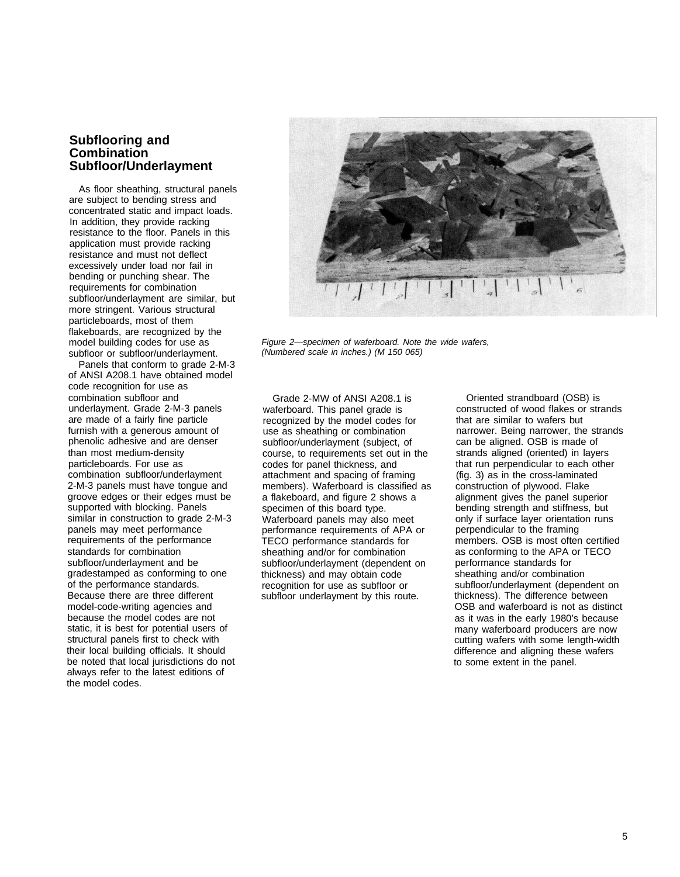#### **Subflooring and Combination Subfloor/Underlayment**

As floor sheathing, structural panels are subject to bending stress and concentrated static and impact loads. In addition, they provide racking resistance to the floor. Panels in this application must provide racking resistance and must not deflect excessively under load nor fail in bending or punching shear. The requirements for combination subfloor/underlayment are similar, but more stringent. Various structural particleboards, most of them flakeboards, are recognized by the model building codes for use as subfloor or subfloor/underlayment.

Panels that conform to grade 2-M-3 of ANSI A208.1 have obtained model code recognition for use as combination subfloor and underlayment. Grade 2-M-3 panels are made of a fairly fine particle furnish with a generous amount of phenolic adhesive and are denser than most medium-density particleboards. For use as combination subfloor/underlayment 2-M-3 panels must have tongue and groove edges or their edges must be supported with blocking. Panels similar in construction to grade 2-M-3 panels may meet performance requirements of the performance standards for combination subfloor/underlayment and be gradestamped as conforming to one of the performance standards. Because there are three different model-code-writing agencies and because the model codes are not static, it is best for potential users of structural panels first to check with their local building officials. It should be noted that local jurisdictions do not always refer to the latest editions of the model codes.



*Figure 2—specimen of waferboard. Note the wide wafers, (Numbered scale in inches.) (M 150 065)*

Grade 2-MW of ANSI A208.1 is waferboard. This panel grade is recognized by the model codes for use as sheathing or combination subfloor/underlayment (subject, of course, to requirements set out in the codes for panel thickness, and attachment and spacing of framing members). Waferboard is classified as a flakeboard, and figure 2 shows a specimen of this board type. Waferboard panels may also meet performance requirements of APA or TECO performance standards for sheathing and/or for combination subfloor/underlayment (dependent on thickness) and may obtain code recognition for use as subfloor or subfloor underlayment by this route.

Oriented strandboard (OSB) is constructed of wood flakes or strands that are similar to wafers but narrower. Being narrower, the strands can be aligned. OSB is made of strands aligned (oriented) in layers that run perpendicular to each other (fig. 3) as in the cross-laminated construction of plywood. Flake alignment gives the panel superior bending strength and stiffness, but only if surface layer orientation runs perpendicular to the framing members. OSB is most often certified as conforming to the APA or TECO performance standards for sheathing and/or combination subfloor/underlayment (dependent on thickness). The difference between OSB and waferboard is not as distinct as it was in the early 1980's because many waferboard producers are now cutting wafers with some length-width difference and aligning these wafers to some extent in the panel.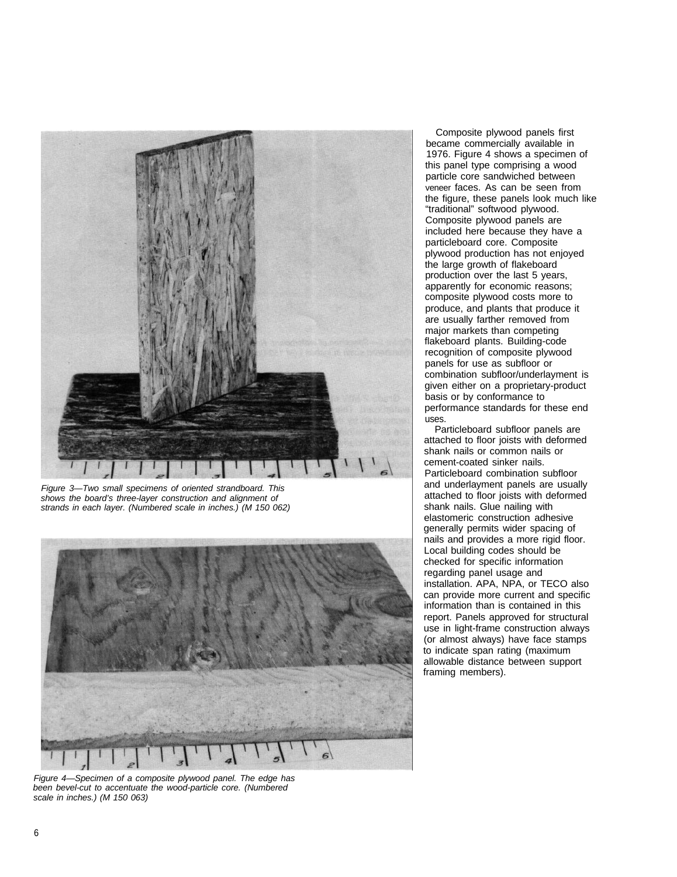

*Figure 3—Two small specimens of oriented strandboard. This shows the board's three-layer construction and alignment of strands in each layer. (Numbered scale in inches.) (M 150 062)*



*Figure 4—Specimen of a composite plywood panel. The edge has been bevel-cut to accentuate the wood-particle core. (Numbered scale in inches.) (M 150 063)*

Composite plywood panels first became commercially available in 1976. Figure 4 shows a specimen of this panel type comprising a wood particle core sandwiched between veneer faces. As can be seen from the figure, these panels look much like "traditional" softwood plywood. Composite plywood panels are included here because they have a particleboard core. Composite plywood production has not enjoyed the large growth of flakeboard production over the last 5 years. apparently for economic reasons; composite plywood costs more to produce, and plants that produce it are usually farther removed from major markets than competing flakeboard plants. Building-code recognition of composite plywood panels for use as subfloor or combination subfloor/underlayment is given either on a proprietary-product basis or by conformance to performance standards for these end uses.

Particleboard subfloor panels are attached to floor joists with deformed shank nails or common nails or cement-coated sinker nails. Particleboard combination subfloor and underlayment panels are usually attached to floor joists with deformed shank nails. Glue nailing with elastomeric construction adhesive generally permits wider spacing of nails and provides a more rigid floor. Local building codes should be checked for specific information regarding panel usage and installation. APA, NPA, or TECO also can provide more current and specific information than is contained in this report. Panels approved for structural use in light-frame construction always (or almost always) have face stamps to indicate span rating (maximum allowable distance between support framing members).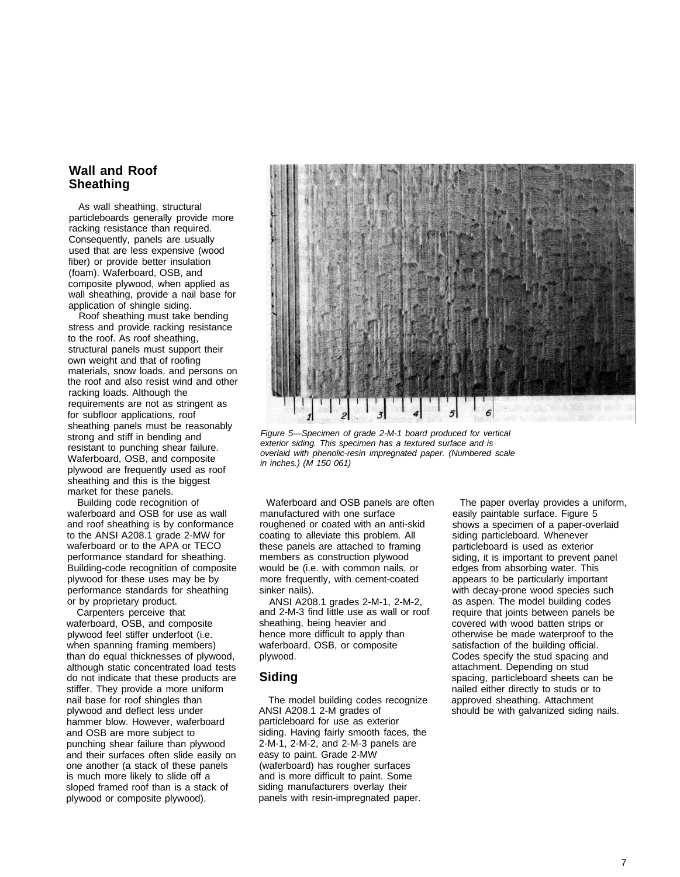#### **Wall and Roof Sheathing**

As wall sheathing, structural particleboards generally provide more racking resistance than required. Consequently, panels are usually used that are less expensive (wood fiber) or provide better insulation (foam). Waferboard, OSB, and composite plywood, when applied as wall sheathing, provide a nail base for application of shingle siding.

Roof sheathing must take bending stress and provide racking resistance to the roof. As roof sheathing, structural panels must support their own weight and that of roofing materials, snow loads, and persons on the roof and also resist wind and other racking loads. Although the requirements are not as stringent as for subfloor applications, roof sheathing panels must be reasonably strong and stiff in bending and resistant to punching shear failure. Waferboard, OSB, and composite plywood are frequently used as roof sheathing and this is the biggest market for these panels.

Building code recognition of waferboard and OSB for use as wall and roof sheathing is by conformance to the ANSI A208.1 grade 2-MW for waferboard or to the APA or TECO performance standard for sheathing. Building-code recognition of composite plywood for these uses may be by performance standards for sheathing or by proprietary product.

Carpenters perceive that waferboard, OSB, and composite plywood feel stiffer underfoot (i.e. when spanning framing members) than do equal thicknesses of plywood, although static concentrated load tests do not indicate that these products are stiffer. They provide a more uniform nail base for roof shingles than plywood and deflect less under hammer blow. However, waferboard and OSB are more subject to punching shear failure than plywood and their surfaces often slide easily on one another (a stack of these panels is much more likely to slide off a sloped framed roof than is a stack of plywood or composite plywood).



*Figure 5—Specimen of grade 2-M-1 board produced for vertical exterior siding. This specimen has a textured surface and is overlaid with phenolic-resin impregnated paper. (Numbered scale in inches.) (M 150 061)*

Waferboard and OSB panels are often manufactured with one surface roughened or coated with an anti-skid coating to alleviate this problem. All these panels are attached to framing members as construction plywood would be (i.e. with common nails, or more frequently, with cement-coated sinker nails).

ANSI A208.1 grades 2-M-1, 2-M-2, and 2-M-3 find little use as wall or roof sheathing, being heavier and hence more difficult to apply than waferboard, OSB, or composite plywood.

#### **Siding**

The model building codes recognize ANSI A208.1 2-M grades of particleboard for use as exterior siding. Having fairly smooth faces, the 2-M-1, 2-M-2, and 2-M-3 panels are easy to paint. Grade 2-MW (waferboard) has rougher surfaces and is more difficult to paint. Some siding manufacturers overlay their panels with resin-impregnated paper.

The paper overlay provides a uniform, easily paintable surface. Figure 5 shows a specimen of a paper-overlaid siding particleboard. Whenever particleboard is used as exterior siding, it is important to prevent panel edges from absorbing water. This appears to be particularly important with decay-prone wood species such as aspen. The model building codes require that joints between panels be covered with wood batten strips or otherwise be made waterproof to the satisfaction of the building official. Codes specify the stud spacing and attachment. Depending on stud spacing, particleboard sheets can be nailed either directly to studs or to approved sheathing. Attachment should be with galvanized siding nails.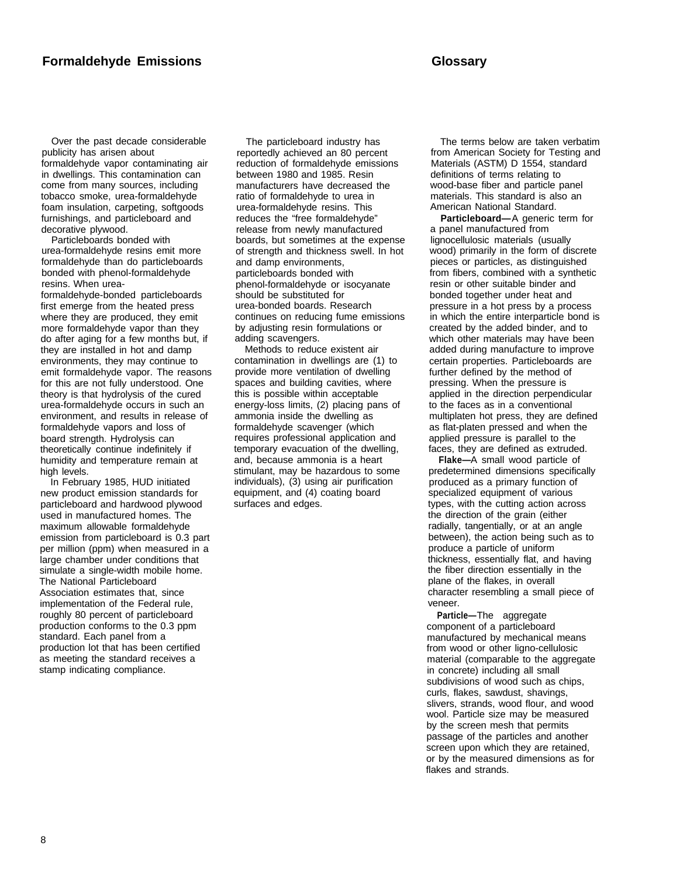Over the past decade considerable publicity has arisen about

formaldehyde vapor contaminating air in dwellings. This contamination can come from many sources, including tobacco smoke, urea-formaldehyde foam insulation, carpeting, softgoods furnishings, and particleboard and decorative plywood.

Particleboards bonded with urea-formaldehyde resins emit more formaldehyde than do particleboards bonded with phenol-formaldehyde resins. When urea-

formaldehyde-bonded particleboards first emerge from the heated press where they are produced, they emit more formaldehyde vapor than they do after aging for a few months but, if they are installed in hot and damp environments, they may continue to emit formaldehyde vapor. The reasons for this are not fully understood. One theory is that hydrolysis of the cured urea-formaldehyde occurs in such an environment, and results in release of formaldehyde vapors and loss of board strength. Hydrolysis can theoretically continue indefinitely if humidity and temperature remain at high levels.

In February 1985, HUD initiated new product emission standards for particleboard and hardwood plywood used in manufactured homes. The maximum allowable formaldehyde emission from particleboard is 0.3 part per million (ppm) when measured in a large chamber under conditions that simulate a single-width mobile home. The National Particleboard Association estimates that, since implementation of the Federal rule, roughly 80 percent of particleboard production conforms to the 0.3 ppm standard. Each panel from a production lot that has been certified as meeting the standard receives a stamp indicating compliance.

The particleboard industry has reportedly achieved an 80 percent reduction of formaldehyde emissions between 1980 and 1985. Resin manufacturers have decreased the ratio of formaldehyde to urea in urea-formaldehyde resins. This reduces the "free formaldehyde" release from newly manufactured boards, but sometimes at the expense of strength and thickness swell. In hot and damp environments, particleboards bonded with phenol-formaldehyde or isocyanate should be substituted for urea-bonded boards. Research continues on reducing fume emissions by adjusting resin formulations or adding scavengers.

Methods to reduce existent air contamination in dwellings are (1) to provide more ventilation of dwelling spaces and building cavities, where this is possible within acceptable energy-loss limits, (2) placing pans of ammonia inside the dwelling as formaldehyde scavenger (which requires professional application and temporary evacuation of the dwelling, and, because ammonia is a heart stimulant, may be hazardous to some individuals), (3) using air purification equipment, and (4) coating board surfaces and edges.

The terms below are taken verbatim from American Society for Testing and Materials (ASTM) D 1554, standard definitions of terms relating to wood-base fiber and particle panel materials. This standard is also an American National Standard.

**Particleboard—**A generic term for a panel manufactured from lignocellulosic materials (usually wood) primarily in the form of discrete pieces or particles, as distinguished from fibers, combined with a synthetic resin or other suitable binder and bonded together under heat and pressure in a hot press by a process in which the entire interparticle bond is created by the added binder, and to which other materials may have been added during manufacture to improve certain properties. Particleboards are further defined by the method of pressing. When the pressure is applied in the direction perpendicular to the faces as in a conventional multiplaten hot press, they are defined as flat-platen pressed and when the applied pressure is parallel to the faces, they are defined as extruded.

**Flake—**A small wood particle of predetermined dimensions specifically produced as a primary function of specialized equipment of various types, with the cutting action across the direction of the grain (either radially, tangentially, or at an angle between), the action being such as to produce a particle of uniform thickness, essentially flat, and having the fiber direction essentially in the plane of the flakes, in overall character resembling a small piece of veneer.

**Particle—**The aggregate component of a particleboard manufactured by mechanical means from wood or other ligno-cellulosic material (comparable to the aggregate in concrete) including all small subdivisions of wood such as chips, curls, flakes, sawdust, shavings, slivers, strands, wood flour, and wood wool. Particle size may be measured by the screen mesh that permits passage of the particles and another screen upon which they are retained, or by the measured dimensions as for flakes and strands.